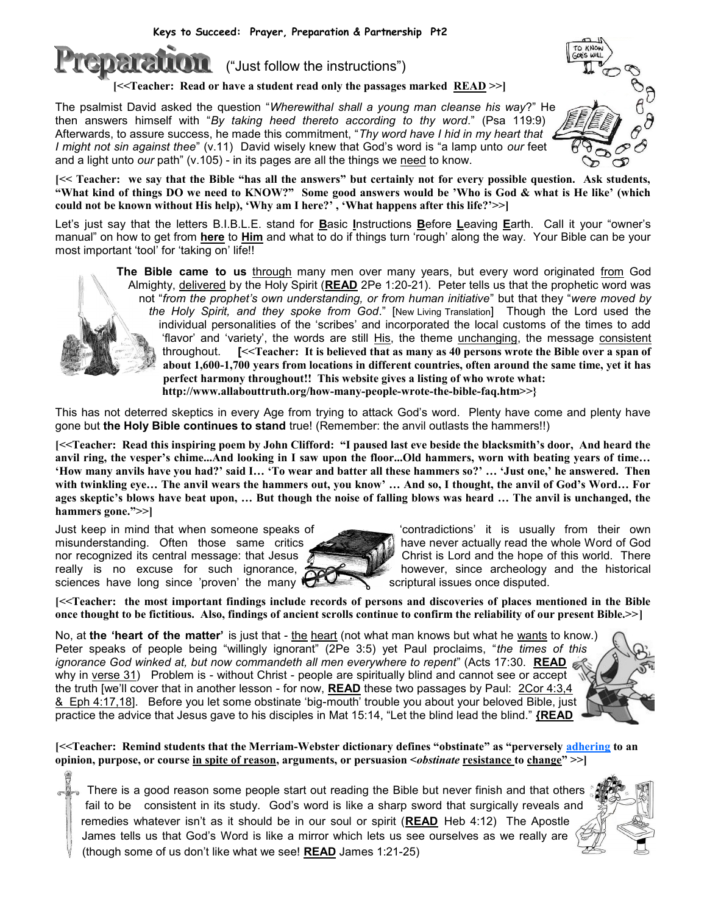**Keys to Succeed: Prayer, Preparation & Partnership Pt2**



**IQIL** ("Just follow the instructions")

**[<<Teacher: Read or have a student read only the passages marked READ >>]**

The psalmist David asked the question "*Wherewithal shall a young man cleanse his way*?" He then answers himself with "*By taking heed thereto according to thy word*." (Psa 119:9) Afterwards, to assure success, he made this commitment, "*Thy word have I hid in my heart that I might not sin against thee*" (v.11) David wisely knew that God"s word is "a lamp unto *our* feet and a light unto *our* path" (v.105) - in its pages are all the things we need to know.



**[<< Teacher: we say that the Bible "has all the answers" but certainly not for every possible question. Ask students, "What kind of things DO we need to KNOW?" Some good answers would be "Who is God & what is He like" (which could not be known without His help), "Why am I here?" , "What happens after this life?">>]**

Let"s just say that the letters B.I.B.L.E. stand for **B**asic **I**nstructions **B**efore **L**eaving **E**arth. Call it your "owner"s manual" on how to get from **here** to **Him** and what to do if things turn "rough" along the way. Your Bible can be your most important 'tool' for 'taking on' life!!

> The Bible came to us through many men over many years, but every word originated from God Almighty, delivered by the Holy Spirit (**READ** 2Pe 1:20-21). Peter tells us that the prophetic word was not "*from the prophet's own understanding, or from human initiative*" but that they "*were moved by the Holy Spirit, and they spoke from God*." [New Living Translation] Though the Lord used the individual personalities of the "scribes" and incorporated the local customs of the times to add "flavor" and "variety", the words are still His, the theme unchanging, the message consistent throughout. **[<<Teacher: It is believed that as many as 40 persons wrote the Bible over a span of about 1,600-1,700 years from locations in different countries, often around the same time, yet it has perfect harmony throughout!! This website gives a listing of who wrote what: http://www.allabouttruth.org/how-many-people-wrote-the-bible-faq.htm>>}**

This has not deterred skeptics in every Age from trying to attack God"s word. Plenty have come and plenty have gone but **the Holy Bible continues to stand** true! (Remember: the anvil outlasts the hammers!!)

**[<<Teacher: Read this inspiring poem by John Clifford: "I paused last eve beside the blacksmith"s door, And heard the anvil ring, the vesper"s chime...And looking in I saw upon the floor...Old hammers, worn with beating years of time… "How many anvils have you had?" said I… "To wear and batter all these hammers so?" … "Just one," he answered. Then with twinkling eye… The anvil wears the hammers out, you know" … And so, I thought, the anvil of God"s Word… For ages skeptic"s blows have beat upon, … But though the noise of falling blows was heard … The anvil is unchanged, the hammers gone.">>]**

misunderstanding. Often those same critics have never actually read the whole Word of God nor recognized its central message: that Jesus  $\sum$  Christ is Lord and the hope of this world. There really is no excuse for such ignorance,  $\approx$ sciences have long since 'proven' the many **scriptural issues once disputed.** 



Just keep in mind that when someone speaks of "contradictions" it is usually from their own

**[<<Teacher: the most important findings include records of persons and discoveries of places mentioned in the Bible once thought to be fictitious. Also, findings of ancient scrolls continue to confirm the reliability of our present Bible.>>]** 

No, at **the 'heart of the matter'** is just that - the heart (not what man knows but what he wants to know.) Peter speaks of people being "willingly ignorant" (2Pe 3:5) yet Paul proclaims, "*the times of this ignorance God winked at, but now commandeth all men everywhere to repent*" (Acts 17:30. **READ** why in verse 31) Problem is - without Christ - people are spiritually blind and cannot see or accept the truth [we"ll cover that in another lesson - for now, **READ** these two passages by Paul: 2Cor 4:3,4 & Eph 4:17,18]. Before you let some obstinate "big-mouth" trouble you about your beloved Bible, just practice the advice that Jesus gave to his disciples in Mat 15:14, "Let the blind lead the blind." **{READ**

**[<<Teacher: Remind students that the Merriam-Webster dictionary defines "obstinate" as "perversely [adhering](http://www.merriam-webster.com/dictionary/adhere) to an opinion, purpose, or course in spite of reason, arguments, or persuasion <***obstinate* **resistance to change" >>]** 

There is a good reason some people start out reading the Bible but never finish and that others fail to be consistent in its study. God's word is like a sharp sword that surgically reveals and remedies whatever isn"t as it should be in our soul or spirit (**READ** Heb 4:12) The Apostle James tells us that God"s Word is like a mirror which lets us see ourselves as we really are (though some of us don"t like what we see! **READ** James 1:21-25)